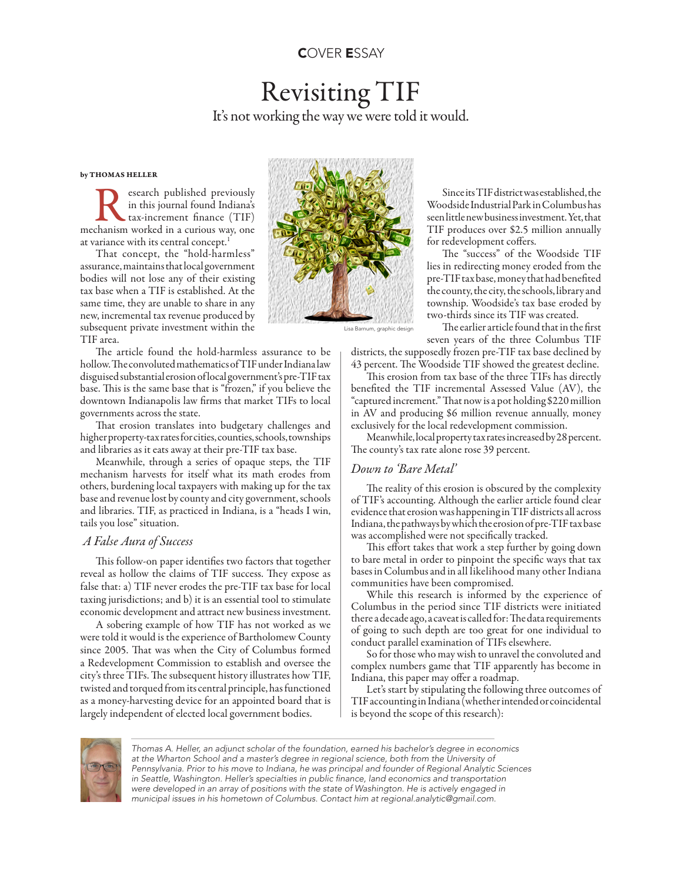# Revisiting TIF It's not working the way we were told it would.

### by THOMAS HELLER

Research published previously<br>in this journal found Indiana's<br>mechanism worked in a curious way, one in this journal found Indiana's tax-increment finance (TIF) at variance with its central concept.<sup>1</sup>

That concept, the "hold-harmless" assurance, maintains that local government bodies will not lose any of their existing tax base when a TIF is established. At the same time, they are unable to share in any new, incremental tax revenue produced by subsequent private investment within the TIF area.

The article found the hold-harmless assurance to be hollow. The convoluted mathematics of TIF under Indiana law disguised substantial erosion of local government's pre-TIF tax base. This is the same base that is "frozen," if you believe the downtown Indianapolis law firms that market TIFs to local governments across the state.

That erosion translates into budgetary challenges and higher property-tax rates for cities, counties, schools, townships and libraries as it eats away at their pre-TIF tax base.

Meanwhile, through a series of opaque steps, the TIF mechanism harvests for itself what its math erodes from others, burdening local taxpayers with making up for the tax base and revenue lost by county and city government, schools and libraries. TIF, as practiced in Indiana, is a "heads I win, tails you lose" situation.

# *A False Aura of Success*

This follow-on paper identifies two factors that together reveal as hollow the claims of TIF success. They expose as false that: a) TIF never erodes the pre-TIF tax base for local taxing jurisdictions; and b) it is an essential tool to stimulate economic development and attract new business investment.

A sobering example of how TIF has not worked as we were told it would is the experience of Bartholomew County since 2005. That was when the City of Columbus formed a Redevelopment Commission to establish and oversee the city's three TIFs. The subsequent history illustrates how TIF, twisted and torqued from its central principle, has functioned as a money-harvesting device for an appointed board that is largely independent of elected local government bodies.



Since its TIF district was established, the Woodside Industrial Park in Columbus has seen little new business investment. Yet, that TIF produces over \$2.5 million annually for redevelopment coffers.

The "success" of the Woodside TIF lies in redirecting money eroded from the pre-TIF tax base, money that had benefited the county, the city, the schools, library and township. Woodside's tax base eroded by two-thirds since its TIF was created.

The earlier article found that in the first seven years of the three Columbus TIF

districts, the supposedly frozen pre-TIF tax base declined by 43 percent. The Woodside TIF showed the greatest decline.

This erosion from tax base of the three TIFs has directly benefited the TIF incremental Assessed Value (AV), the "captured increment." That now is a pot holding \$220 million in AV and producing \$6 million revenue annually, money exclusively for the local redevelopment commission.

Meanwhile, local property tax rates increased by 28 percent. The county's tax rate alone rose 39 percent.

# *Down to 'Bare Metal'*

The reality of this erosion is obscured by the complexity of TIF's accounting. Although the earlier article found clear evidence that erosion was happening in TIF districts all across Indiana, the pathways by which the erosion of pre-TIF tax base was accomplished were not specifically tracked.

This effort takes that work a step further by going down to bare metal in order to pinpoint the specific ways that tax bases in Columbus and in all likelihood many other Indiana communities have been compromised.

While this research is informed by the experience of Columbus in the period since TIF districts were initiated there a decade ago, a caveat is called for: The data requirements of going to such depth are too great for one individual to conduct parallel examination of TIFs elsewhere.

So for those who may wish to unravel the convoluted and complex numbers game that TIF apparently has become in Indiana, this paper may offer a roadmap.

Let's start by stipulating the following three outcomes of TIF accounting in Indiana (whether intended or coincidental is beyond the scope of this research):



*Thomas A. Heller, an adjunct scholar of the foundation, earned his bachelor's degree in economics at the Wharton School and a master's degree in regional science, both from the University of Pennsylvania. Prior to his move to Indiana, he was principal and founder of Regional Analytic Sciences*  in Seattle, Washington. Heller's specialties in public finance, land economics and transportation *were developed in an array of positions with the state of Washington. He is actively engaged in municipal issues in his hometown of Columbus. Contact him at regional.analytic@gmail.com.*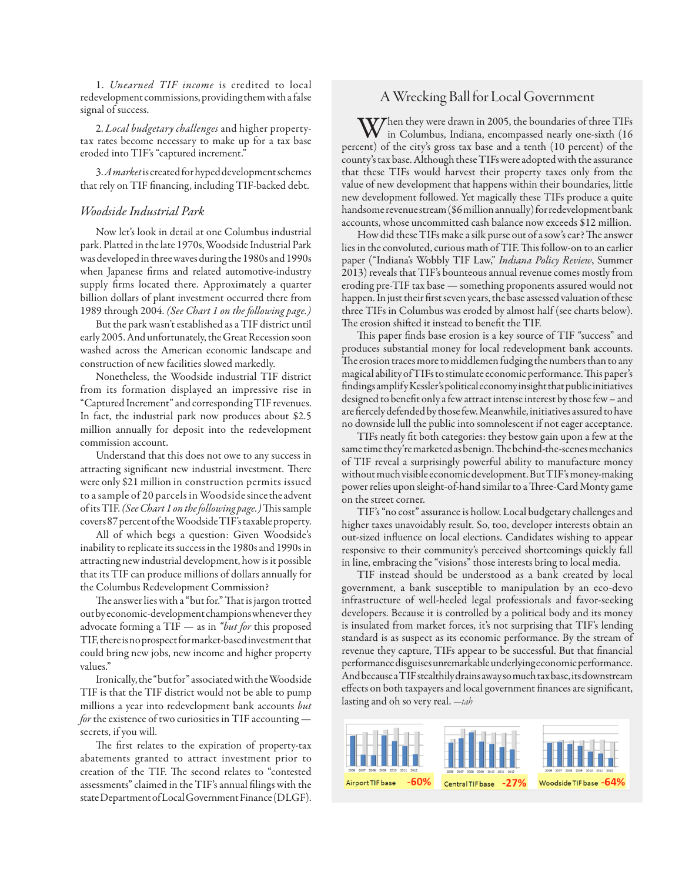1. *Unearned TIF income* is credited to local redevelopment commissions, providing them with a false signal of success.

2. *Local budgetary challenges* and higher propertytax rates become necessary to make up for a tax base eroded into TIF's "captured increment."

3. *A market* is created for hyped development schemes that rely on TIF financing, including TIF-backed debt.

# *Woodside Industrial Park*

Now let's look in detail at one Columbus industrial park. Platted in the late 1970s, Woodside Industrial Park was developed in three waves during the 1980s and 1990s when Japanese firms and related automotive-industry supply firms located there. Approximately a quarter billion dollars of plant investment occurred there from 1989 through 2004. *(See Chart 1 on the following page.)*

But the park wasn't established as a TIF district until early 2005. And unfortunately, the Great Recession soon washed across the American economic landscape and construction of new facilities slowed markedly*.*

Nonetheless, the Woodside industrial TIF district from its formation displayed an impressive rise in "Captured Increment" and corresponding TIF revenues. In fact, the industrial park now produces about \$2.5 million annually for deposit into the redevelopment commission account.

Understand that this does not owe to any success in attracting significant new industrial investment. There were only \$21 million in construction permits issued to a sample of 20 parcels in Woodside since the advent of its TIF. *(See Chart 1 on the following page.)* This sample covers 87 percent of the Woodside TIF's taxable property.

All of which begs a question: Given Woodside's inability to replicate its success in the 1980s and 1990s in attracting new industrial development, how is it possible that its TIF can produce millions of dollars annually for the Columbus Redevelopment Commission?

The answer lies with a "but for." That is jargon trotted out by economic-development champions whenever they advocate forming a TIF — as in *"but for* this proposed TIF, there is no prospect for market-based investment that could bring new jobs, new income and higher property values."

Ironically, the "but for" associated with the Woodside TIF is that the TIF district would not be able to pump millions a year into redevelopment bank accounts *but for* the existence of two curiosities in TIF accounting secrets, if you will.

The first relates to the expiration of property-tax abatements granted to attract investment prior to creation of the TIF. The second relates to "contested assessments" claimed in the TIF's annual filings with the state Department of Local Government Finance (DLGF).

# A Wrecking Ball for Local Government

When they were drawn in 2005, the boundaries of three TIFs<br>in Columbus, Indiana, encompassed nearly one-sixth (16<br>in the late of the sixth (10 percent) of the city's gross tax base and a tenth (10 percent) of the county's tax base. Although these TIFs were adopted with the assurance that these TIFs would harvest their property taxes only from the value of new development that happens within their boundaries, little new development followed. Yet magically these TIFs produce a quite handsome revenue stream (\$6 million annually) for redevelopment bank accounts, whose uncommitted cash balance now exceeds \$12 million.

How did these TIFs make a silk purse out of a sow's ear? The answer lies in the convoluted, curious math of TIF. This follow-on to an earlier paper ("Indiana's Wobbly TIF Law," *Indiana Policy Review*, Summer 2013) reveals that TIF's bounteous annual revenue comes mostly from eroding pre-TIF tax base — something proponents assured would not happen. In just their first seven years, the base assessed valuation of these three TIFs in Columbus was eroded by almost half (see charts below). The erosion shifted it instead to benefit the TIF.

This paper finds base erosion is a key source of TIF "success" and produces substantial money for local redevelopment bank accounts. The erosion traces more to middlemen fudging the numbers than to any magical ability of TIFs to stimulate economic performance. This paper's findings amplify Kessler's political economy insight that public initiatives designed to benefit only a few attract intense interest by those few – and are fiercely defended by those few. Meanwhile, initiatives assured to have no downside lull the public into somnolescent if not eager acceptance.

TIFs neatly fit both categories: they bestow gain upon a few at the same time they're marketed as benign. The behind-the-scenes mechanics of TIF reveal a surprisingly powerful ability to manufacture money without much visible economic development. But TIF's money-making power relies upon sleight-of-hand similar to a Three-Card Monty game on the street corner.

TIF's "no cost" assurance is hollow. Local budgetary challenges and higher taxes unavoidably result. So, too, developer interests obtain an out-sized influence on local elections. Candidates wishing to appear responsive to their community's perceived shortcomings quickly fall in line, embracing the "visions" those interests bring to local media.

TIF instead should be understood as a bank created by local government, a bank susceptible to manipulation by an eco-devo infrastructure of well-heeled legal professionals and favor-seeking developers. Because it is controlled by a political body and its money is insulated from market forces, it's not surprising that TIF's lending standard is as suspect as its economic performance. By the stream of revenue they capture, TIFs appear to be successful. But that financial performance disguises unremarkable underlying economic performance. And because a TIF stealthily drains away so much tax base, its downstream effects on both taxpayers and local government finances are significant, lasting and oh so very real. *—tah*

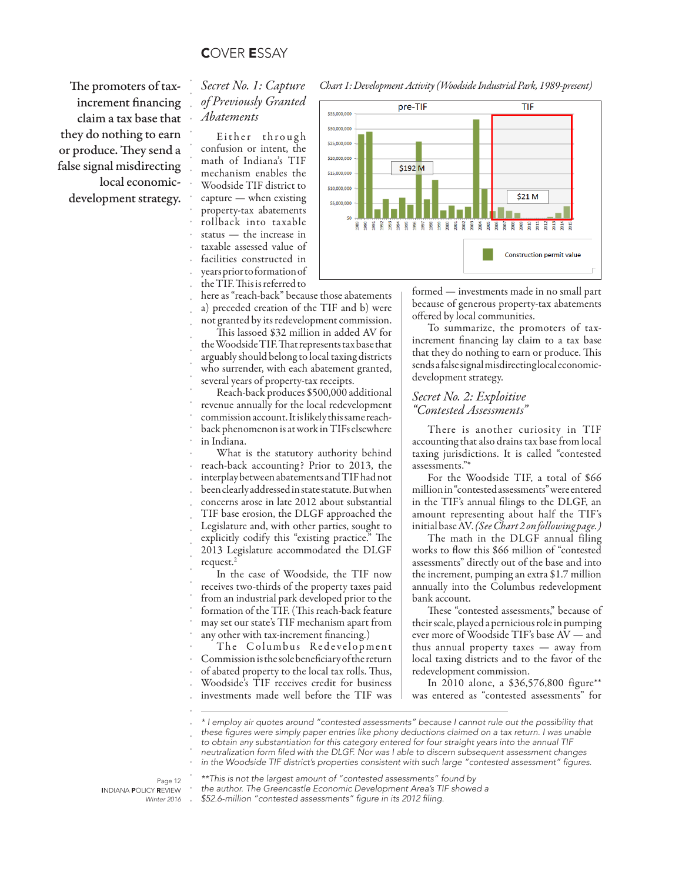# COVER ESSAY

increment financing claim a tax base that they do nothing to earn or produce. They send a false signal misdirecting local economicdevelopment strategy.

#### . . . . . *Secret No. 1: Capture of Previously Granted Abatements*

. . . . . . . . . . . . . . . . . . . . . . . . . . . . . . . . . . . . . . . . . . . . . . . .

Either through confusion or intent, the math of Indiana's TIF mechanism enables the Woodside TIF district to capture — when existing property-tax abatements rollback into taxable status — the increase in taxable assessed value of facilities constructed in years prior to formation of the TIF. This is referred to

here as "reach-back" because those abatements a) preceded creation of the TIF and b) were not granted by its redevelopment commission.

This lassoed \$32 million in added AV for the Woodside TIF. That represents tax base that arguably should belong to local taxing districts who surrender, with each abatement granted, several years of property-tax receipts.

Reach-back produces \$500,000 additional revenue annually for the local redevelopment commission account. It is likely this same reachback phenomenon is at work in TIFs elsewhere in Indiana.

What is the statutory authority behind reach-back accounting? Prior to 2013, the interplay between abatements and TIF had not been clearly addressed in state statute. But when concerns arose in late 2012 about substantial TIF base erosion, the DLGF approached the Legislature and, with other parties, sought to explicitly codify this "existing practice." The 2013 Legislature accommodated the DLGF request.<sup>2</sup>

In the case of Woodside, the TIF now receives two-thirds of the property taxes paid from an industrial park developed prior to the formation of the TIF. (This reach-back feature may set our state's TIF mechanism apart from any other with tax-increment financing.)

The Columbus Redevelopment Commission is the sole beneficiary of the return of abated property to the local tax rolls. Thus, Woodside's TIF receives credit for business investments made well before the TIF was

The promoters of tax-<br>  $\Gamma$  Secret No. 1: Capture Chart 1: Development Activity (Woodside Industrial Park, 1989-present)



formed — investments made in no small part because of generous property-tax abatements offered by local communities.

To summarize, the promoters of taxincrement financing lay claim to a tax base that they do nothing to earn or produce. This sends a false signal misdirecting local economicdevelopment strategy.

# *Secret No. 2: Exploitive "Contested Assessments"*

There is another curiosity in TIF accounting that also drains tax base from local taxing jurisdictions. It is called "contested assessments."\*

For the Woodside TIF, a total of \$66 million in "contested assessments" were entered in the TIF's annual filings to the DLGF, an amount representing about half the TIF's initial base AV. *(See Chart 2 on following page.)*

The math in the DLGF annual filing works to flow this \$66 million of "contested assessments" directly out of the base and into the increment, pumping an extra \$1.7 million annually into the Columbus redevelopment bank account.

These "contested assessments," because of their scale, played a pernicious role in pumping ever more of Woodside TIF's base AV — and thus annual property taxes — away from local taxing districts and to the favor of the redevelopment commission.

In 2010 alone, a \$36,576,800 figure\*\* was entered as "contested assessments" for

. . *\*\*This is not the largest amount of "contested assessments" found by* 

Page 12 INDIANA POLICY REVIEW *Winter 2016*

.

the author. The Greencastle Economic Development Area's TIF showed a \$52.6-million "contested assessments" figure in its 2012 filing.

*<sup>\*</sup> I employ air quotes around "contested assessments" because I cannot rule out the possibility that*  these figures were simply paper entries like phony deductions claimed on a tax return. I was unable to obtain any substantiation for this category entered for four straight years into the annual TIF neutralization form filed with the DLGF. Nor was I able to discern subsequent assessment changes

<sup>.</sup> in the Woodside TIF district's properties consistent with such large "contested assessment" figures.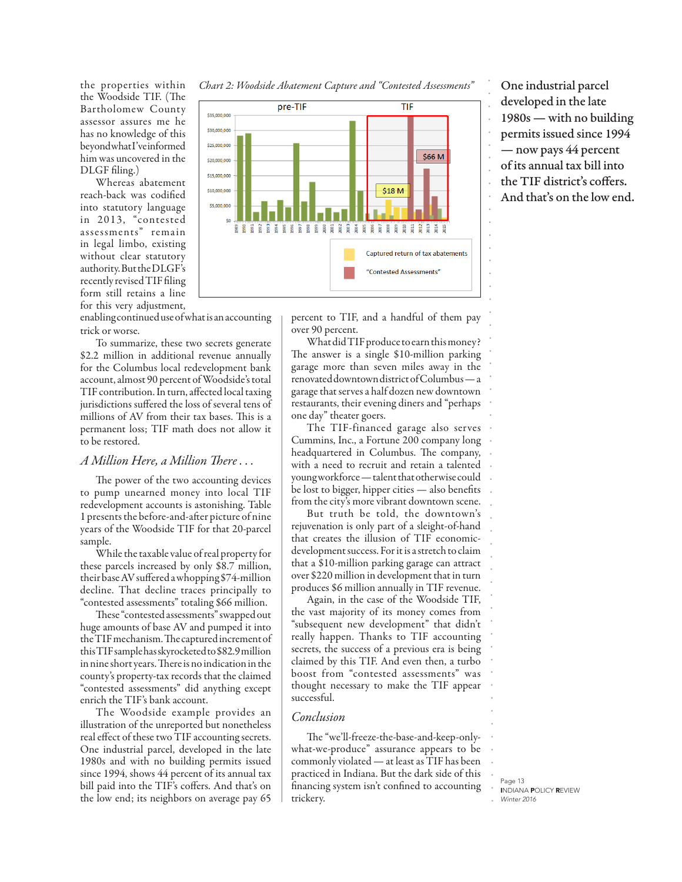the properties within the Woodside TIF. (The Bartholomew County assessor assures me he has no knowledge of this beyond what I've informed him was uncovered in the DLGF filing.)

Whereas abatement reach-back was codified into statutory language in 2013, "contested assessments" remain in legal limbo, existing without clear statutory authority. But the DLGF's recently revised TIF filing form still retains a line for this very adjustment,

enabling continued use of what is an accounting trick or worse.

To summarize, these two secrets generate \$2.2 million in additional revenue annually for the Columbus local redevelopment bank account, almost 90 percent of Woodside's total TIF contribution. In turn, affected local taxing jurisdictions suffered the loss of several tens of millions of AV from their tax bases. This is a permanent loss; TIF math does not allow it to be restored.

### *A Million Here, a Million There . . .*

The power of the two accounting devices to pump unearned money into local TIF redevelopment accounts is astonishing. Table 1 presents the before-and-after picture of nine years of the Woodside TIF for that 20-parcel sample.

While the taxable value of real property for these parcels increased by only \$8.7 million, their base AV suffered a whopping \$74-million decline. That decline traces principally to "contested assessments" totaling \$66 million.

These "contested assessments" swapped out huge amounts of base AV and pumped it into the TIF mechanism. The captured increment of this TIF sample has skyrocketed to \$82.9 million in nine short years. There is no indication in the county's property-tax records that the claimed "contested assessments" did anything except enrich the TIF's bank account.

The Woodside example provides an illustration of the unreported but nonetheless real effect of these two TIF accounting secrets. One industrial parcel, developed in the late 1980s and with no building permits issued since 1994, shows 44 percent of its annual tax bill paid into the TIF's coffers. And that's on the low end; its neighbors on average pay 65





developed in the late 1980s — with no building permits issued since 1994 — now pays 44 percent of its annual tax bill into the TIF district's coffers. And that's on the low end.

percent to TIF, and a handful of them pay over 90 percent.

What did TIF produce to earn this money? The answer is a single \$10-million parking garage more than seven miles away in the renovated downtown district of Columbus — a garage that serves a half dozen new downtown restaurants, their evening diners and "perhaps one day" theater goers.

The TIF-financed garage also serves Cummins, Inc., a Fortune 200 company long headquartered in Columbus. The company, with a need to recruit and retain a talented young workforce — talent that otherwise could be lost to bigger, hipper cities — also benefits from the city's more vibrant downtown scene.

But truth be told, the downtown's rejuvenation is only part of a sleight-of-hand that creates the illusion of TIF economicdevelopment success. For it is a stretch to claim that a \$10-million parking garage can attract over \$220 million in development that in turn produces \$6 million annually in TIF revenue.

Again, in the case of the Woodside TIF, the vast majority of its money comes from "subsequent new development" that didn't really happen. Thanks to TIF accounting secrets, the success of a previous era is being claimed by this TIF. And even then, a turbo boost from "contested assessments" was thought necessary to make the TIF appear successful.

# *Conclusion*

The "we'll-freeze-the-base-and-keep-onlywhat-we-produce" assurance appears to be commonly violated — at least as TIF has been practiced in Indiana. But the dark side of this financing system isn't confined to accounting trickery.

Page 13 INDIANA POLICY REVIEW *Winter 2016*